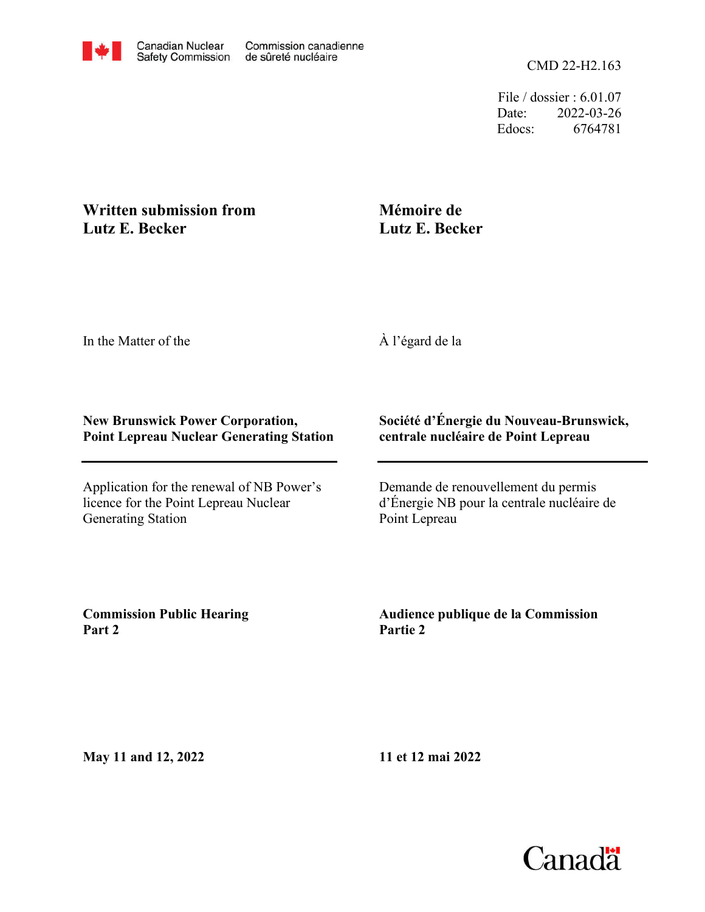File / dossier : 6.01.07 Date: 2022-03-26 Edocs: 6764781

## **Written submission from Lutz E. Becker**

## **Mémoire de Lutz E. Becker**

In the Matter of the

À l'égard de la

#### **New Brunswick Power Corporation, Point Lepreau Nuclear Generating Station**

Application for the renewal of NB Power's licence for the Point Lepreau Nuclear Generating Station

#### **Société d'Énergie du Nouveau-Brunswick, centrale nucléaire de Point Lepreau**

Demande de renouvellement du permis d'Énergie NB pour la centrale nucléaire de Point Lepreau

**Commission Public Hearing Part 2**

**Audience publique de la Commission Partie 2**

**May 11 and 12, 2022**

**11 et 12 mai 2022**

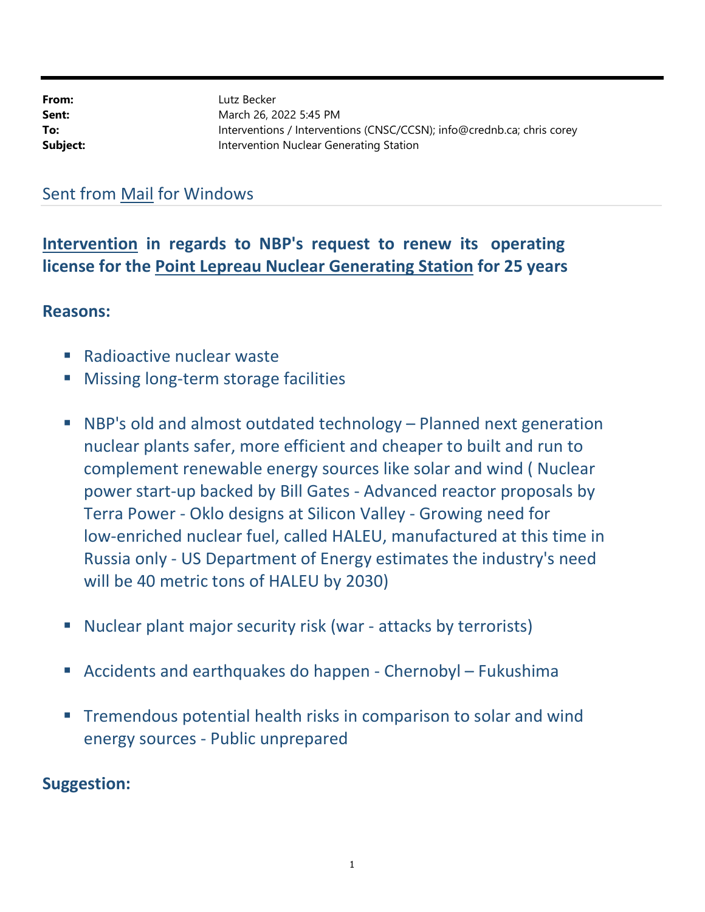| From:    | Lutz Becker                                                            |
|----------|------------------------------------------------------------------------|
| Sent:    | March 26, 2022 5:45 PM                                                 |
| To:      | Interventions / Interventions (CNSC/CCSN); info@crednb.ca; chris corey |
| Subject: | Intervention Nuclear Generating Station                                |

# Sent from Mail for Windows

Intervention in regards to NBP's request to renew its operating license for the Point Lepreau Nuclear Generating Station for 25 years

### Reasons:

- **Radioactive nuclear waster**
- **Missing long-term storage facilities**
- NBP's old and almost outdated technology Planned next generation nuclear plants safer, more efficient and cheaper to built and run to complement renewable energy sources like solar and wind ( Nuclear power start-up backed by Bill Gates - Advanced reactor proposals by Terra Power - Oklo designs at Silicon Valley - Growing need for low-enriched nuclear fuel, called HALEU, manufactured at this time in Russia only - US Department of Energy estimates the industry's need will be 40 metric tons of HALEU by 2030)
- Nuclear plant major security risk (war attacks by terrorists)
- Accidents and earthquakes do happen Chernobyl Fukushima
- **Tremendous potential health risks in comparison to solar and wind** energy sources - Public unprepared

## Suggestion: